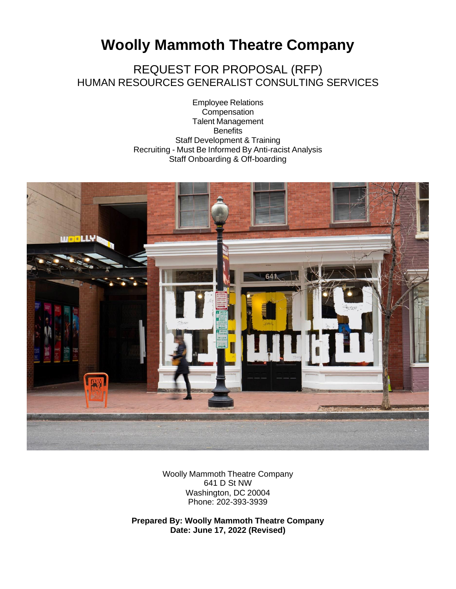# **Woolly Mammoth Theatre Company**

REQUEST FOR PROPOSAL (RFP) HUMAN RESOURCES GENERALIST CONSULTING SERVICES

> Employee Relations **Compensation** Talent Management **Benefits** Staff Development & Training Recruiting - Must Be Informed By Anti-racist Analysis Staff Onboarding & Off-boarding



Woolly Mammoth Theatre Company 641 D St NW Washington, DC 20004 Phone: 202-393-3939

**Prepared By: Woolly Mammoth Theatre Company Date: June 17, 2022 (Revised)**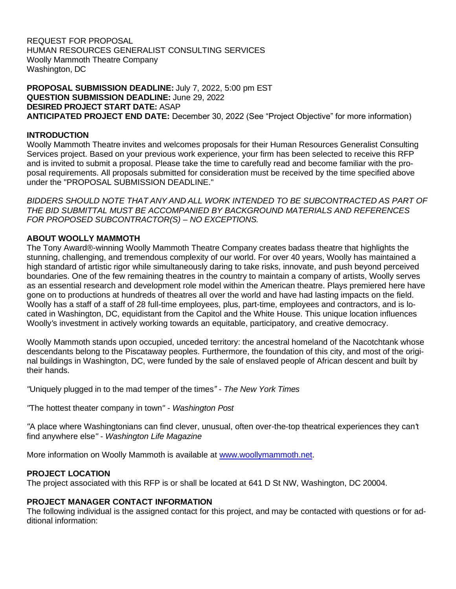REQUEST FOR PROPOSAL HUMAN RESOURCES GENERALIST CONSULTING SERVICES Woolly Mammoth Theatre Company Washington, DC

**PROPOSAL SUBMISSION DEADLINE:** July 7, 2022, 5:00 pm EST **QUESTION SUBMISSION DEADLINE:** June 29, 2022 **DESIRED PROJECT START DATE:** ASAP **ANTICIPATED PROJECT END DATE:** December 30, 2022 (See "Project Objective" for more information)

#### **INTRODUCTION**

Woolly Mammoth Theatre invites and welcomes proposals for their Human Resources Generalist Consulting Services project. Based on your previous work experience, your firm has been selected to receive this RFP and is invited to submit a proposal. Please take the time to carefully read and become familiar with the proposal requirements. All proposals submitted for consideration must be received by the time specified above under the "PROPOSAL SUBMISSION DEADLINE."

*BIDDERS SHOULD NOTE THAT ANY AND ALL WORK INTENDED TO BE SUBCONTRACTED AS PART OF THE BID SUBMITTAL MUST BE ACCOMPANIED BY BACKGROUND MATERIALS AND REFERENCES FOR PROPOSED SUBCONTRACTOR(S) – NO EXCEPTIONS.*

#### **ABOUT WOOLLY MAMMOTH**

The Tony Award®-winning Woolly Mammoth Theatre Company creates badass theatre that highlights the stunning, challenging, and tremendous complexity of our world. For over 40 years, Woolly has maintained a high standard of artistic rigor while simultaneously daring to take risks, innovate, and push beyond perceived boundaries. One of the few remaining theatres in the country to maintain a company of artists, Woolly serves as an essential research and development role model within the American theatre. Plays premiered here have gone on to productions at hundreds of theatres all over the world and have had lasting impacts on the field. Woolly has a staff of a staff of 28 full-time employees, plus, part-time, employees and contractors, and is located in Washington, DC, equidistant from the Capitol and the White House. This unique location influences Woolly*'*s investment in actively working towards an equitable, participatory, and creative democracy.

Woolly Mammoth stands upon occupied, unceded territory: the ancestral homeland of the Nacotchtank whose descendants belong to the Piscataway peoples. Furthermore, the foundation of this city, and most of the original buildings in Washington, DC, were funded by the sale of enslaved people of African descent and built by their hands.

*"*Uniquely plugged in to the mad temper of the times*" - The New York Times*

*"*The hottest theater company in town*"* - *Washington Post*

*"*A place where Washingtonians can find clever, unusual, often over-the-top theatrical experiences they can*'*t find anywhere else*"* - *Washington Life Magazine*

More information on Woolly Mammoth is available at [www.woollymammoth.net.](http://www.woollymammoth.net/)

#### **PROJECT LOCATION**

The project associated with this RFP is or shall be located at 641 D St NW, Washington, DC 20004.

#### **PROJECT MANAGER CONTACT INFORMATION**

The following individual is the assigned contact for this project, and may be contacted with questions or for additional information: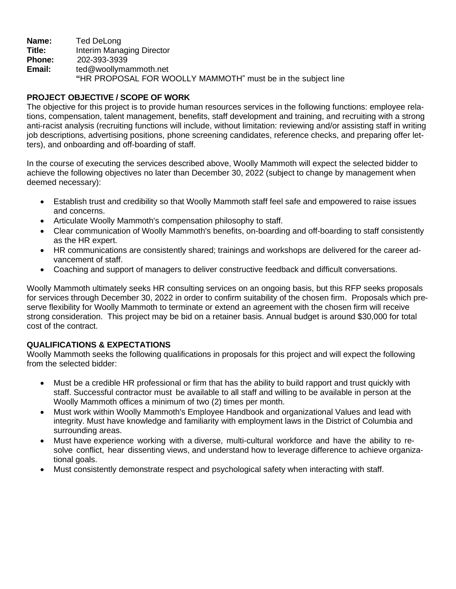**Name:** Ted DeLong **Title:** Interim Managing Director **Phone:** 202-393-3939 **Email:** [ted@woollymammoth.net](mailto:Maria@woollymammoth.net)  **"**HR PROPOSAL FOR WOOLLY MAMMOTH" must be in the subject line

#### **PROJECT OBJECTIVE / SCOPE OF WORK**

The objective for this project is to provide human resources services in the following functions: employee relations, compensation, talent management, benefits, staff development and training, and recruiting with a strong anti-racist analysis (recruiting functions will include, without limitation: reviewing and/or assisting staff in writing job descriptions, advertising positions, phone screening candidates, reference checks, and preparing offer letters), and onboarding and off-boarding of staff.

In the course of executing the services described above, Woolly Mammoth will expect the selected bidder to achieve the following objectives no later than December 30, 2022 (subject to change by management when deemed necessary):

- Establish trust and credibility so that Woolly Mammoth staff feel safe and empowered to raise issues and concerns.
- Articulate Woolly Mammoth's compensation philosophy to staff.
- Clear communication of Woolly Mammoth's benefits, on-boarding and off-boarding to staff consistently as the HR expert.
- HR communications are consistently shared; trainings and workshops are delivered for the career advancement of staff.
- Coaching and support of managers to deliver constructive feedback and difficult conversations.

Woolly Mammoth ultimately seeks HR consulting services on an ongoing basis, but this RFP seeks proposals for services through December 30, 2022 in order to confirm suitability of the chosen firm. Proposals which preserve flexibility for Woolly Mammoth to terminate or extend an agreement with the chosen firm will receive strong consideration. This project may be bid on a retainer basis. Annual budget is around \$30,000 for total cost of the contract.

# **QUALIFICATIONS & EXPECTATIONS**

Woolly Mammoth seeks the following qualifications in proposals for this project and will expect the following from the selected bidder:

- Must be a credible HR professional or firm that has the ability to build rapport and trust quickly with staff. Successful contractor must be available to all staff and willing to be available in person at the Woolly Mammoth offices a minimum of two (2) times per month.
- Must work within Woolly Mammoth's Employee Handbook and organizational Values and lead with integrity. Must have knowledge and familiarity with employment laws in the District of Columbia and surrounding areas.
- Must have experience working with a diverse, multi-cultural workforce and have the ability to resolve conflict, hear dissenting views, and understand how to leverage difference to achieve organizational goals.
- Must consistently demonstrate respect and psychological safety when interacting with staff.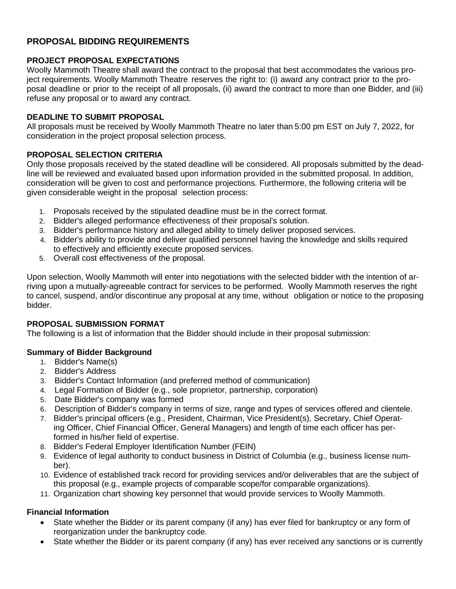# **PROPOSAL BIDDING REQUIREMENTS**

#### **PROJECT PROPOSAL EXPECTATIONS**

Woolly Mammoth Theatre shall award the contract to the proposal that best accommodates the various project requirements. Woolly Mammoth Theatre reserves the right to: (i) award any contract prior to the proposal deadline or prior to the receipt of all proposals, (ii) award the contract to more than one Bidder, and (iii) refuse any proposal or to award any contract.

#### **DEADLINE TO SUBMIT PROPOSAL**

All proposals must be received by Woolly Mammoth Theatre no later than 5:00 pm EST on July 7, 2022, for consideration in the project proposal selection process.

#### **PROPOSAL SELECTION CRITERIA**

Only those proposals received by the stated deadline will be considered. All proposals submitted by the deadline will be reviewed and evaluated based upon information provided in the submitted proposal. In addition, consideration will be given to cost and performance projections. Furthermore, the following criteria will be given considerable weight in the proposal selection process:

- 1. Proposals received by the stipulated deadline must be in the correct format.
- 2. Bidder's alleged performance effectiveness of their proposal's solution.
- 3. Bidder's performance history and alleged ability to timely deliver proposed services.
- 4. Bidder's ability to provide and deliver qualified personnel having the knowledge and skills required to effectively and efficiently execute proposed services.
- 5. Overall cost effectiveness of the proposal.

Upon selection, Woolly Mammoth will enter into negotiations with the selected bidder with the intention of arriving upon a mutually-agreeable contract for services to be performed. Woolly Mammoth reserves the right to cancel, suspend, and/or discontinue any proposal at any time, without obligation or notice to the proposing bidder.

#### **PROPOSAL SUBMISSION FORMAT**

The following is a list of information that the Bidder should include in their proposal submission:

#### **Summary of Bidder Background**

- 1. Bidder's Name(s)
- 2. Bidder's Address
- 3. Bidder's Contact Information (and preferred method of communication)
- 4. Legal Formation of Bidder (e.g., sole proprietor, partnership, corporation)
- 5. Date Bidder's company was formed
- 6. Description of Bidder's company in terms of size, range and types of services offered and clientele.
- 7. Bidder's principal officers (e.g., President, Chairman, Vice President(s), Secretary, Chief Operating Officer, Chief Financial Officer, General Managers) and length of time each officer has performed in his/her field of expertise.
- 8. Bidder's Federal Employer Identification Number (FEIN)
- 9. Evidence of legal authority to conduct business in District of Columbia (e.g., business license number).
- 10. Evidence of established track record for providing services and/or deliverables that are the subject of this proposal (e.g., example projects of comparable scope/for comparable organizations).
- 11. Organization chart showing key personnel that would provide services to Woolly Mammoth.

#### **Financial Information**

- State whether the Bidder or its parent company (if any) has ever filed for bankruptcy or any form of reorganization under the bankruptcy code.
- State whether the Bidder or its parent company (if any) has ever received any sanctions or is currently